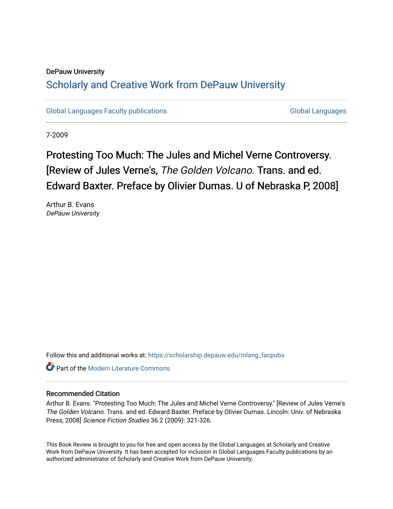### DePauw University Scholarly and [Creative Work from DePauw Univ](https://scholarship.depauw.edu/)ersity

[Global Languages Faculty publications](https://scholarship.depauw.edu/mlang_facpubs) [Global Languages](https://scholarship.depauw.edu/modernlanguages) Global Languages

7-2009

## Protesting Too Much: The Jules and Michel Verne Controversy. [Review of Jules Verne's, The Golden Volcano. Trans. and ed. Edward Baxter. Preface by Olivier Dumas. U of Nebraska P, 2008]

Arthur B. Evans DePauw University

Follow this and additional works at: [https://scholarship.depauw.edu/mlang\\_facpubs](https://scholarship.depauw.edu/mlang_facpubs?utm_source=scholarship.depauw.edu%2Fmlang_facpubs%2F35&utm_medium=PDF&utm_campaign=PDFCoverPages)

**C** Part of the Modern Literature Commons

#### Recommended Citation

Arthur B. Evans. "Protesting Too Much: The Jules and Michel Verne Controversy." [Review of Jules Verne's The Golden Volcano. Trans. and ed. Edward Baxter. Preface by Olivier Dumas. Lincoln: Univ. of Nebraska Press, 2008] Science Fiction Studies 36.2 (2009): 321-326.

This Book Review is brought to you for free and open access by the Global Languages at Scholarly and Creative Work from DePauw University. It has been accepted for inclusion in Global Languages Faculty publications by an authorized administrator of Scholarly and Creative Work from DePauw University.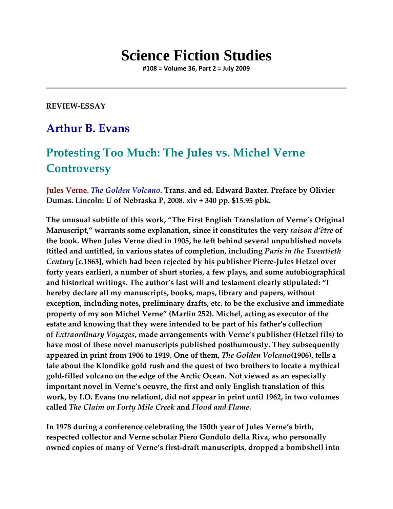# **Science Fiction Studies**

**#108 = Volume 36, Part 2 = July 2009**

**REVIEW-ESSAY**

## **Arthur B. Evans**

## **Protesting Too Much: The Jules vs. Michel Verne Controversy**

**Jules Verne.** *The Golden Volcano***. Trans. and ed. Edward Baxter. Preface by Olivier Dumas. Lincoln: U of Nebraska P, 2008. xiv + 340 pp. \$15.95 pbk.**

**The unusual subtitle of this work, "The First English Translation of Verne's Original Manuscript," warrants some explanation, since it constitutes the very** *raison d'être* **of the book. When Jules Verne died in 1905, he left behind several unpublished novels (titled and untitled, in various states of completion, including** *Paris in the Twentieth Century* **[c.1863], which had been rejected by his publisher Pierre-Jules Hetzel over forty years earlier), a number of short stories, a few plays, and some autobiographical and historical writings. The author's last will and testament clearly stipulated: "I hereby declare all my manuscripts, books, maps, library and papers, without exception, including notes, preliminary drafts, etc. to be the exclusive and immediate property of my son Michel Verne" (Martin 252). Michel, acting as executor of the estate and knowing that they were intended to be part of his father's collection of** *Extraordinary Voyages***, made arrangements with Verne's publisher (Hetzel fils) to have most of these novel manuscripts published posthumously. They subsequently appeared in print from 1906 to 1919. One of them,** *The Golden Volcano***(1906), tells a tale about the Klondike gold rush and the quest of two brothers to locate a mythical gold-filled volcano on the edge of the Arctic Ocean. Not viewed as an especially important novel in Verne's oeuvre, the first and only English translation of this work, by I.O. Evans (no relation), did not appear in print until 1962, in two volumes called** *The Claim on Forty Mile Creek* **and** *Flood and Flame***.** 

**In 1978 during a conference celebrating the 150th year of Jules Verne's birth, respected collector and Verne scholar Piero Gondolo della Riva, who personally owned copies of many of Verne's first-draft manuscripts, dropped a bombshell into**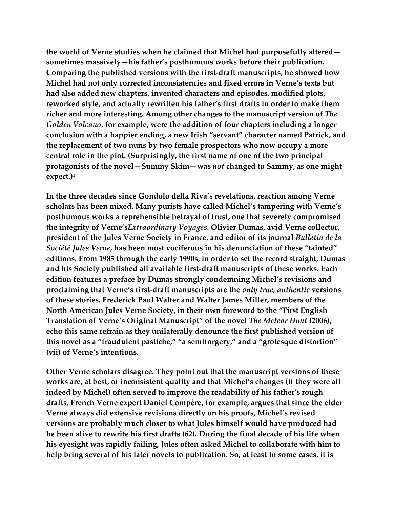**the world of Verne studies when he claimed that Michel had purposefully altered sometimes massively—his father's posthumous works before their publication. Comparing the published versions with the first-draft manuscripts, he showed how Michel had not only corrected inconsistencies and fixed errors in Verne's texts but had also added new chapters, invented characters and episodes, modified plots, reworked style, and actually rewritten his father's first drafts in order to make them richer and more interesting. Among other changes to the manuscript version of** *The Golden Volcano***, for example, were the addition of four chapters including a longer conclusion with a happier ending, a new Irish "servant" character named Patrick, and the replacement of two nuns by two female prospectors who now occupy a more central role in the plot. (Surprisingly, the first name of one of the two principal protagonists of the novel—Summy Skim—was** *not* **changed to Sammy, as one might expect.)1** 

**In the three decades since Gondolo della Riva's revelations, reaction among Verne scholars has been mixed. Many purists have called Michel's tampering with Verne's posthumous works a reprehensible betrayal of trust, one that severely compromised the integrity of Verne's***Extraordinary Voyages***. Olivier Dumas, avid Verne collector, president of the Jules Verne Society in France, and editor of its journal** *Bulletin de la Société Jules Verne***, has been most vociferous in his denunciation of these "tainted" editions. From 1985 through the early 1990s, in order to set the record straight, Dumas and his Society published all available first-draft manuscripts of these works. Each edition features a preface by Dumas strongly condemning Michel's revisions and proclaiming that Verne's first-draft manuscripts are the** *only true, authentic* **versions of these stories. Frederick Paul Walter and Walter James Miller, members of the North American Jules Verne Society, in their own foreword to the "First English Translation of Verne's Original Manuscript" of the novel** *The Meteor Hunt* **(2006), echo this same refrain as they unilaterally denounce the first published version of this novel as a "fraudulent pastiche," "a semiforgery," and a "grotesque distortion" (vii) of Verne's intentions.** 

**Other Verne scholars disagree. They point out that the manuscript versions of these works are, at best, of inconsistent quality and that Michel's changes (if they were all indeed by Michel) often served to improve the readability of his father's rough drafts. French Verne expert Daniel Compère, for example, argues that since the elder Verne always did extensive revisions directly on his proofs, Michel's revised versions are probably much closer to what Jules himself would have produced had he been alive to rewrite his first drafts (62). During the final decade of his life when his eyesight was rapidly failing, Jules often asked Michel to collaborate with him to help bring several of his later novels to publication. So, at least in some cases, it is**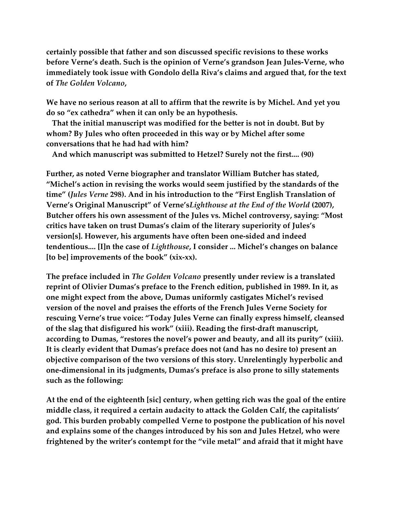**certainly possible that father and son discussed specific revisions to these works before Verne's death. Such is the opinion of Verne's grandson Jean Jules-Verne, who immediately took issue with Gondolo della Riva's claims and argued that, for the text of** *The Golden Volcano***,**

**We have no serious reason at all to affirm that the rewrite is by Michel. And yet you do so "ex cathedra" when it can only be an hypothesis.**

 **That the initial manuscript was modified for the better is not in doubt. But by whom? By Jules who often proceeded in this way or by Michel after some conversations that he had had with him?**

 **And which manuscript was submitted to Hetzel? Surely not the first.... (90)**

**Further, as noted Verne biographer and translator William Butcher has stated, "Michel's action in revising the works would seem justified by the standards of the time" (***Jules Verne* **298). And in his introduction to the "First English Translation of Verne's Original Manuscript" of Verne's***Lighthouse at the End of the World* **(2007), Butcher offers his own assessment of the Jules vs. Michel controversy, saying: "Most critics have taken on trust Dumas's claim of the literary superiority of Jules's version[s]. However, his arguments have often been one-sided and indeed tendentious.... [I]n the case of** *Lighthouse***, I consider ... Michel's changes on balance [to be] improvements of the book" (xix-xx).** 

**The preface included in** *The Golden Volcano* **presently under review is a translated reprint of Olivier Dumas's preface to the French edition, published in 1989. In it, as one might expect from the above, Dumas uniformly castigates Michel's revised version of the novel and praises the efforts of the French Jules Verne Society for rescuing Verne's true voice: "Today Jules Verne can finally express himself, cleansed of the slag that disfigured his work" (xiii). Reading the first-draft manuscript, according to Dumas, "restores the novel's power and beauty, and all its purity" (xiii). It is clearly evident that Dumas's preface does not (and has no desire to) present an objective comparison of the two versions of this story. Unrelentingly hyperbolic and one-dimensional in its judgments, Dumas's preface is also prone to silly statements such as the following:**

**At the end of the eighteenth [sic] century, when getting rich was the goal of the entire middle class, it required a certain audacity to attack the Golden Calf, the capitalists' god. This burden probably compelled Verne to postpone the publication of his novel and explains some of the changes introduced by his son and Jules Hetzel, who were frightened by the writer's contempt for the "vile metal" and afraid that it might have**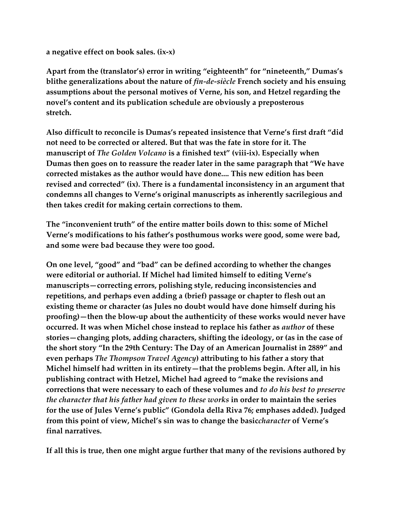**a negative effect on book sales. (ix-x)**

**Apart from the (translator's) error in writing "eighteenth" for "nineteenth," Dumas's blithe generalizations about the nature of** *fin-de-siècle* **French society and his ensuing assumptions about the personal motives of Verne, his son, and Hetzel regarding the novel's content and its publication schedule are obviously a preposterous stretch.** 

**Also difficult to reconcile is Dumas's repeated insistence that Verne's first draft "did not need to be corrected or altered. But that was the fate in store for it. The manuscript of** *The Golden Volcano* **is a finished text" (viii-ix). Especially when Dumas then goes on to reassure the reader later in the same paragraph that "We have corrected mistakes as the author would have done.... This new edition has been revised and corrected" (ix). There is a fundamental inconsistency in an argument that condemns all changes to Verne's original manuscripts as inherently sacrilegious and then takes credit for making certain corrections to them.** 

**The "inconvenient truth" of the entire matter boils down to this: some of Michel Verne's modifications to his father's posthumous works were good, some were bad, and some were bad because they were too good.**

**On one level, "good" and "bad" can be defined according to whether the changes were editorial or authorial. If Michel had limited himself to editing Verne's manuscripts—correcting errors, polishing style, reducing inconsistencies and repetitions, and perhaps even adding a (brief) passage or chapter to flesh out an existing theme or character (as Jules no doubt would have done himself during his proofing)—then the blow-up about the authenticity of these works would never have occurred. It was when Michel chose instead to replace his father as** *author* **of these stories—changing plots, adding characters, shifting the ideology, or (as in the case of the short story "In the 29th Century: The Day of an American Journalist in 2889" and even perhaps** *The Thompson Travel Agency***) attributing to his father a story that Michel himself had written in its entirety—that the problems begin. After all, in his publishing contract with Hetzel, Michel had agreed to "make the revisions and corrections that were necessary to each of these volumes and** *to do his best to preserve the character that his father had given to these works* **in order to maintain the series for the use of Jules Verne's public" (Gondola della Riva 76; emphases added). Judged from this point of view, Michel's sin was to change the basic***character* **of Verne's final narratives.** 

**If all this is true, then one might argue further that many of the revisions authored by**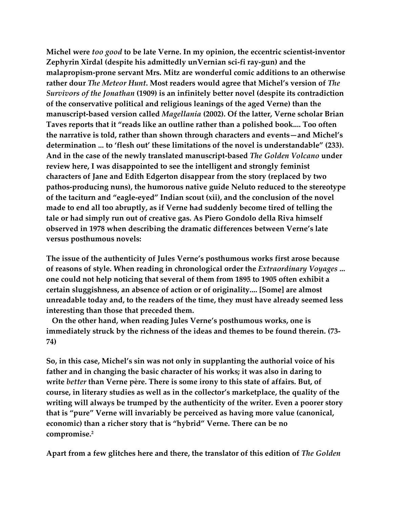**Michel were** *too good* **to be late Verne. In my opinion, the eccentric scientist-inventor Zephyrin Xirdal (despite his admittedly unVernian sci-fi ray-gun) and the malapropism-prone servant Mrs. Mitz are wonderful comic additions to an otherwise rather dour** *The Meteor Hunt***. Most readers would agree that Michel's version of** *The Survivors of the Jonathan* **(1909) is an infinitely better novel (despite its contradiction of the conservative political and religious leanings of the aged Verne) than the manuscript-based version called** *Magellania* **(2002). Of the latter, Verne scholar Brian Taves reports that it "reads like an outline rather than a polished book.... Too often the narrative is told, rather than shown through characters and events—and Michel's determination ... to 'flesh out' these limitations of the novel is understandable" (233). And in the case of the newly translated manuscript-based** *The Golden Volcano* **under review here, I was disappointed to see the intelligent and strongly feminist characters of Jane and Edith Edgerton disappear from the story (replaced by two pathos-producing nuns), the humorous native guide Neluto reduced to the stereotype of the taciturn and "eagle-eyed" Indian scout (xii), and the conclusion of the novel made to end all too abruptly, as if Verne had suddenly become tired of telling the tale or had simply run out of creative gas. As Piero Gondolo della Riva himself observed in 1978 when describing the dramatic differences between Verne's late versus posthumous novels:**

**The issue of the authenticity of Jules Verne's posthumous works first arose because of reasons of style. When reading in chronological order the** *Extraordinary Voyages* **... one could not help noticing that several of them from 1895 to 1905 often exhibit a certain sluggishness, an absence of action or of originality.... [Some] are almost unreadable today and, to the readers of the time, they must have already seemed less interesting than those that preceded them.**

 **On the other hand, when reading Jules Verne's posthumous works, one is immediately struck by the richness of the ideas and themes to be found therein. (73- 74)**

**So, in this case, Michel's sin was not only in supplanting the authorial voice of his father and in changing the basic character of his works; it was also in daring to write** *better* **than Verne père. There is some irony to this state of affairs. But, of course, in literary studies as well as in the collector's marketplace, the quality of the writing will always be trumped by the authenticity of the writer. Even a poorer story that is "pure" Verne will invariably be perceived as having more value (canonical, economic) than a richer story that is "hybrid" Verne. There can be no compromise.2** 

**Apart from a few glitches here and there, the translator of this edition of** *The Golden*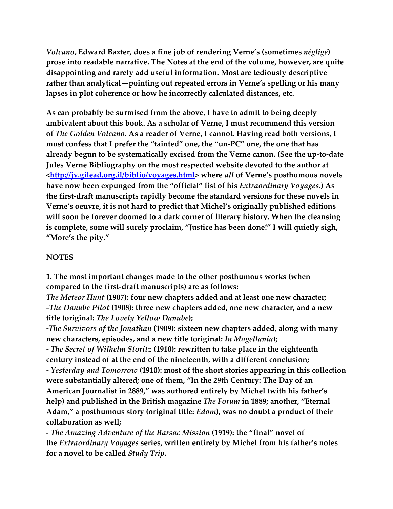*Volcano***, Edward Baxter, does a fine job of rendering Verne's (sometimes** *négligé***) prose into readable narrative. The Notes at the end of the volume, however, are quite disappointing and rarely add useful information. Most are tediously descriptive rather than analytical—pointing out repeated errors in Verne's spelling or his many lapses in plot coherence or how he incorrectly calculated distances, etc.** 

**As can probably be surmised from the above, I have to admit to being deeply ambivalent about this book. As a scholar of Verne, I must recommend this version of** *The Golden Volcano***. As a reader of Verne, I cannot. Having read both versions, I must confess that I prefer the "tainted" one, the "un-PC" one, the one that has already begun to be systematically excised from the Verne canon. (See the up-to-date Jules Verne Bibliography on the most respected website devoted to the author at [<http://jv.gilead.org.il/biblio/voyages.html>](http://jv.gilead.org.il/biblio/voyages.html) where** *all* **of Verne's posthumous novels have now been expunged from the "official" list of his** *Extraordinary Voyages***.) As the first-draft manuscripts rapidly become the standard versions for these novels in Verne's oeuvre, it is not hard to predict that Michel's originally published editions will soon be forever doomed to a dark corner of literary history. When the cleansing is complete, some will surely proclaim, "Justice has been done!" I will quietly sigh, "More's the pity."**

#### **NOTES**

**1. The most important changes made to the other posthumous works (when compared to the first-draft manuscripts) are as follows:**

*The Meteor Hunt* **(1907): four new chapters added and at least one new character;** *-The Danube Pilot* **(1908): three new chapters added, one new character, and a new title (original:** *The Lovely Yellow Danube***);**

**-***The Survivors of the Jonathan* **(1909): sixteen new chapters added, along with many new characters, episodes, and a new title (original:** *In Magellania***);**

**-** *The Secret of Wilhelm Storitz* **(1910): rewritten to take place in the eighteenth century instead of at the end of the nineteenth, with a different conclusion; -** *Yesterday and Tomorrow* **(1910): most of the short stories appearing in this collection were substantially altered; one of them, "In the 29th Century: The Day of an American Journalist in 2889," was authored entirely by Michel (with his father's help) and published in the British magazine** *The Forum* **in 1889; another, "Eternal Adam," a posthumous story (original title:** *Edom***), was no doubt a product of their collaboration as well;**

**-** *The Amazing Adventure of the Barsac Mission* **(1919): the "final" novel of the** *Extraordinary Voyages* **series, written entirely by Michel from his father's notes for a novel to be called** *Study Trip***.**